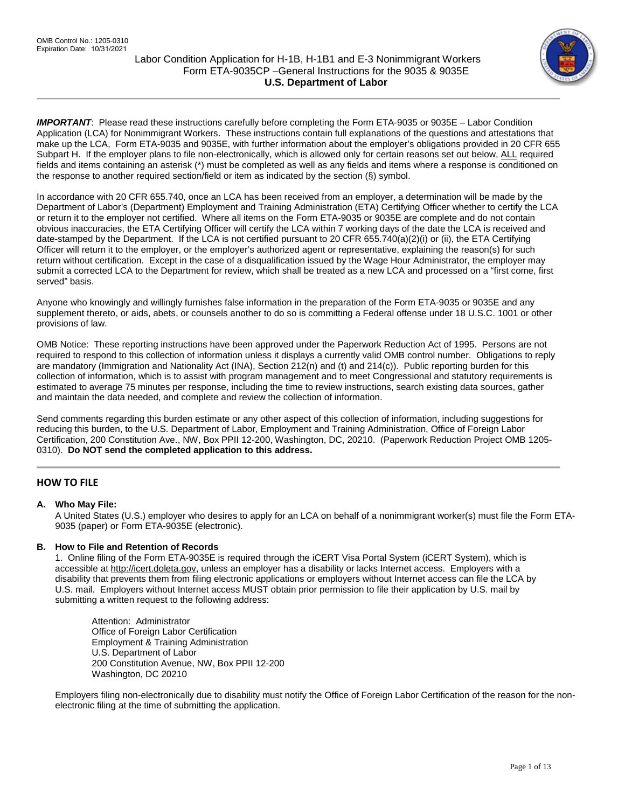

IMPORTANT: Please read these instructions carefully before completing the Form ETA-9035 or 9035E – Labor Condition Application (LCA) for Nonimmigrant Workers. These instructions contain full explanations of the questions and attestations that make up the LCA, Form ETA-9035 and 9035E, with further information about the employer's obligations provided in 20 CFR 655 Subpart H. If the employer plans to file non-electronically, which is allowed only for certain reasons set out below, ALL required fields and items containing an asterisk (\*) must be completed as well as any fields and items where a response is conditioned on the response to another required section/field or item as indicated by the section (§) symbol.

In accordance with 20 CFR 655.740, once an LCA has been received from an employer, a determination will be made by the Department of Labor's (Department) Employment and Training Administration (ETA) Certifying Officer whether to certify the LCA or return it to the employer not certified. Where all items on the Form ETA-9035 or 9035E are complete and do not contain obvious inaccuracies, the ETA Certifying Officer will certify the LCA within 7 working days of the date the LCA is received and date-stamped by the Department. If the LCA is not certified pursuant to 20 CFR 655.740(a)(2)(i) or (ii), the ETA Certifying Officer will return it to the employer, or the employer's authorized agent or representative, explaining the reason(s) for such return without certification. Except in the case of a disqualification issued by the Wage Hour Administrator, the employer may submit a corrected LCA to the Department for review, which shall be treated as a new LCA and processed on a "first come, first served" basis.

Anyone who knowingly and willingly furnishes false information in the preparation of the Form ETA-9035 or 9035E and any supplement thereto, or aids, abets, or counsels another to do so is committing a Federal offense under 18 U.S.C. 1001 or other provisions of law.

OMB Notice: These reporting instructions have been approved under the Paperwork Reduction Act of 1995. Persons are not required to respond to this collection of information unless it displays a currently valid OMB control number. Obligations to reply are mandatory (Immigration and Nationality Act (INA), Section 212(n) and (t) and 214(c)). Public reporting burden for this collection of information, which is to assist with program management and to meet Congressional and statutory requirements is estimated to average 75 minutes per response, including the time to review instructions, search existing data sources, gather and maintain the data needed, and complete and review the collection of information.

Send comments regarding this burden estimate or any other aspect of this collection of information, including suggestions for reducing this burden, to the U.S. Department of Labor, Employment and Training Administration, Office of Foreign Labor Certification, 200 Constitution Ave., NW, Box PPII 12-200, Washington, DC, 20210. (Paperwork Reduction Project OMB 1205- 0310). **Do NOT send the completed application to this address.**

# **HOW TO FILE**

# **A. Who May File:**

A United States (U.S.) employer who desires to apply for an LCA on behalf of a nonimmigrant worker(s) must file the Form ETA-9035 (paper) or Form ETA-9035E (electronic).

## **B. How to File and Retention of Records**

1. Online filing of the Form ETA-9035E is required through the iCERT Visa Portal System (iCERT System), which is accessible a[t http://icert.doleta.gov,](http://icert.doleta.gov/) unless an employer has a disability or lacks Internet access. Employers with a disability that prevents them from filing electronic applications or employers without Internet access can file the LCA by U.S. mail. Employers without Internet access MUST obtain prior permission to file their application by U.S. mail by submitting a written request to the following address:

Attention: Administrator Office of Foreign Labor Certification Employment & Training Administration U.S. Department of Labor 200 Constitution Avenue, NW, Box PPII 12-200 Washington, DC 20210

Employers filing non-electronically due to disability must notify the Office of Foreign Labor Certification of the reason for the nonelectronic filing at the time of submitting the application.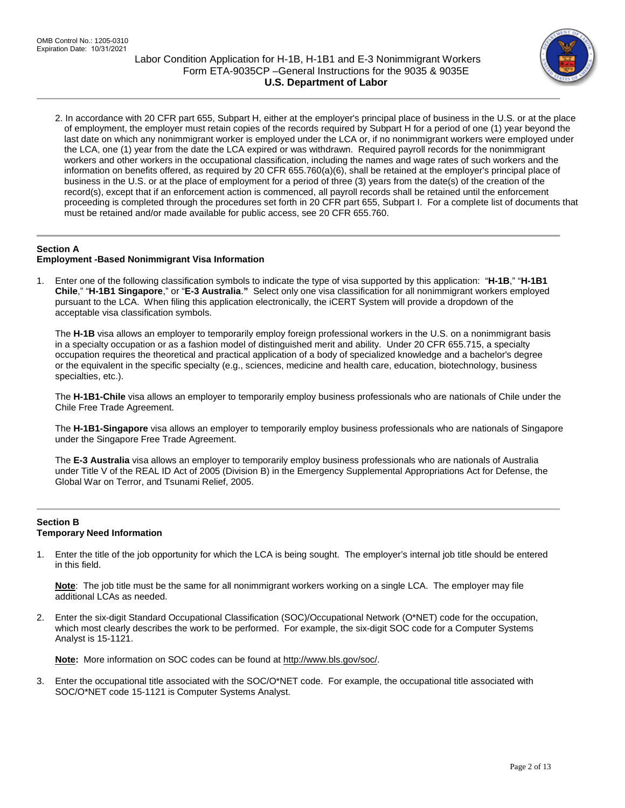

2. In accordance with 20 CFR part 655, Subpart H, either at the employer's principal place of business in the U.S. or at the place of employment, the employer must retain copies of the records required by Subpart H for a period of one (1) year beyond the last date on which any nonimmigrant worker is employed under the LCA or, if no nonimmigrant workers were employed under the LCA, one (1) year from the date the LCA expired or was withdrawn. Required payroll records for the nonimmigrant workers and other workers in the occupational classification, including the names and wage rates of such workers and the information on benefits offered, as required by 20 CFR 655.760(a)(6), shall be retained at the employer's principal place of business in the U.S. or at the place of employment for a period of three (3) years from the date(s) of the creation of the record(s), except that if an enforcement action is commenced, all payroll records shall be retained until the enforcement proceeding is completed through the procedures set forth in 20 CFR part 655, Subpart I. For a complete list of documents that must be retained and/or made available for public access, see 20 CFR 655.760.

# **Section A**

## **Employment -Based Nonimmigrant Visa Information**

1. Enter one of the following classification symbols to indicate the type of visa supported by this application: "**H-1B**," "**H-1B1 Chile**," "**H-1B1 Singapore**," or "**E-3 Australia**.**"** Select only one visa classification for all nonimmigrant workers employed pursuant to the LCA. When filing this application electronically, the iCERT System will provide a dropdown of the acceptable visa classification symbols.

The **H-1B** visa allows an employer to temporarily employ foreign professional workers in the U.S. on a nonimmigrant basis in a specialty occupation or as a fashion model of distinguished merit and ability. Under 20 CFR 655.715, a specialty occupation requires the theoretical and practical application of a body of specialized knowledge and a bachelor's degree or the equivalent in the specific specialty (e.g., sciences, medicine and health care, education, biotechnology, business specialties, etc.).

The **H-1B1-Chile** visa allows an employer to temporarily employ business professionals who are nationals of Chile under the Chile Free Trade Agreement.

The **H-1B1-Singapore** visa allows an employer to temporarily employ business professionals who are nationals of Singapore under the Singapore Free Trade Agreement.

The **E-3 Australia** visa allows an employer to temporarily employ business professionals who are nationals of Australia under Title V of the REAL ID Act of 2005 (Division B) in the Emergency Supplemental Appropriations Act for Defense, the Global War on Terror, and Tsunami Relief, 2005.

## **Section B Temporary Need Information**

1. Enter the title of the job opportunity for which the LCA is being sought. The employer's internal job title should be entered in this field.

**Note**: The job title must be the same for all nonimmigrant workers working on a single LCA. The employer may file additional LCAs as needed.

2. Enter the six-digit Standard Occupational Classification (SOC)/Occupational Network (O\*NET) code for the occupation, which most clearly describes the work to be performed. For example, the six-digit SOC code for a Computer Systems Analyst is 15-1121.

**Note:** More information on SOC codes can be found a[t http://www.bls.gov/soc/.](http://www.bls.gov/soc/)

3. Enter the occupational title associated with the SOC/O\*NET code. For example, the occupational title associated with SOC/O\*NET code 15-1121 is Computer Systems Analyst.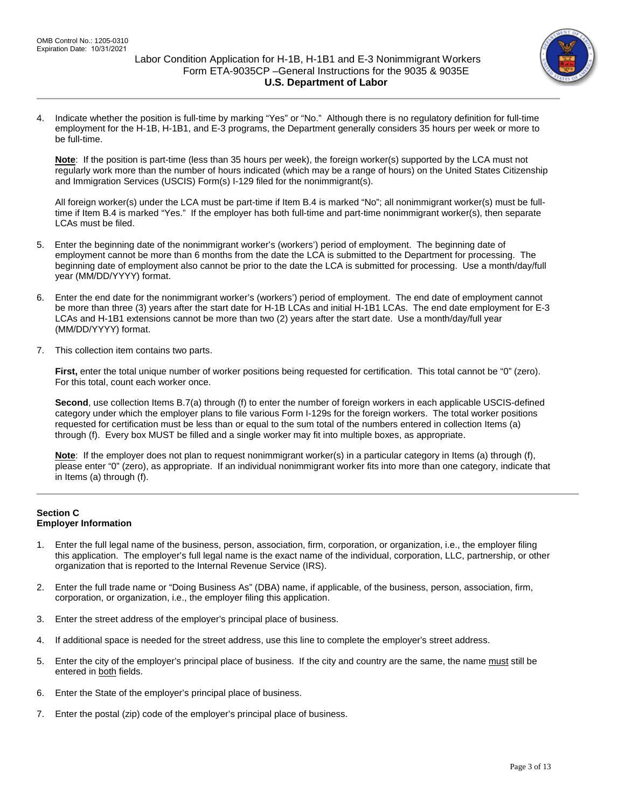

4. Indicate whether the position is full-time by marking "Yes" or "No." Although there is no regulatory definition for full-time employment for the H-1B, H-1B1, and E-3 programs, the Department generally considers 35 hours per week or more to be full-time.

**Note**: If the position is part-time (less than 35 hours per week), the foreign worker(s) supported by the LCA must not regularly work more than the number of hours indicated (which may be a range of hours) on the United States Citizenship and Immigration Services (USCIS) Form(s) I-129 filed for the nonimmigrant(s).

All foreign worker(s) under the LCA must be part-time if Item B.4 is marked "No"; all nonimmigrant worker(s) must be fulltime if Item B.4 is marked "Yes." If the employer has both full-time and part-time nonimmigrant worker(s), then separate LCAs must be filed.

- 5. Enter the beginning date of the nonimmigrant worker's (workers') period of employment. The beginning date of employment cannot be more than 6 months from the date the LCA is submitted to the Department for processing. The beginning date of employment also cannot be prior to the date the LCA is submitted for processing. Use a month/day/full year (MM/DD/YYYY) format.
- 6. Enter the end date for the nonimmigrant worker's (workers') period of employment. The end date of employment cannot be more than three (3) years after the start date for H-1B LCAs and initial H-1B1 LCAs. The end date employment for E-3 LCAs and H-1B1 extensions cannot be more than two (2) years after the start date. Use a month/day/full year (MM/DD/YYYY) format.
- 7. This collection item contains two parts.

**First,** enter the total unique number of worker positions being requested for certification. This total cannot be "0" (zero). For this total, count each worker once.

**Second**, use collection Items B.7(a) through (f) to enter the number of foreign workers in each applicable USCIS-defined category under which the employer plans to file various Form I-129s for the foreign workers. The total worker positions requested for certification must be less than or equal to the sum total of the numbers entered in collection Items (a) through (f). Every box MUST be filled and a single worker may fit into multiple boxes, as appropriate.

**Note**: If the employer does not plan to request nonimmigrant worker(s) in a particular category in Items (a) through (f), please enter "0" (zero), as appropriate. If an individual nonimmigrant worker fits into more than one category, indicate that in Items (a) through (f).

# **Section C Employer Information**

- 1. Enter the full legal name of the business, person, association, firm, corporation, or organization, i.e., the employer filing this application. The employer's full legal name is the exact name of the individual, corporation, LLC, partnership, or other organization that is reported to the Internal Revenue Service (IRS).
- 2. Enter the full trade name or "Doing Business As" (DBA) name, if applicable, of the business, person, association, firm, corporation, or organization, i.e., the employer filing this application.
- 3. Enter the street address of the employer's principal place of business.
- 4. If additional space is needed for the street address, use this line to complete the employer's street address.
- 5. Enter the city of the employer's principal place of business. If the city and country are the same, the name must still be entered in both fields.
- 6. Enter the State of the employer's principal place of business.
- 7. Enter the postal (zip) code of the employer's principal place of business.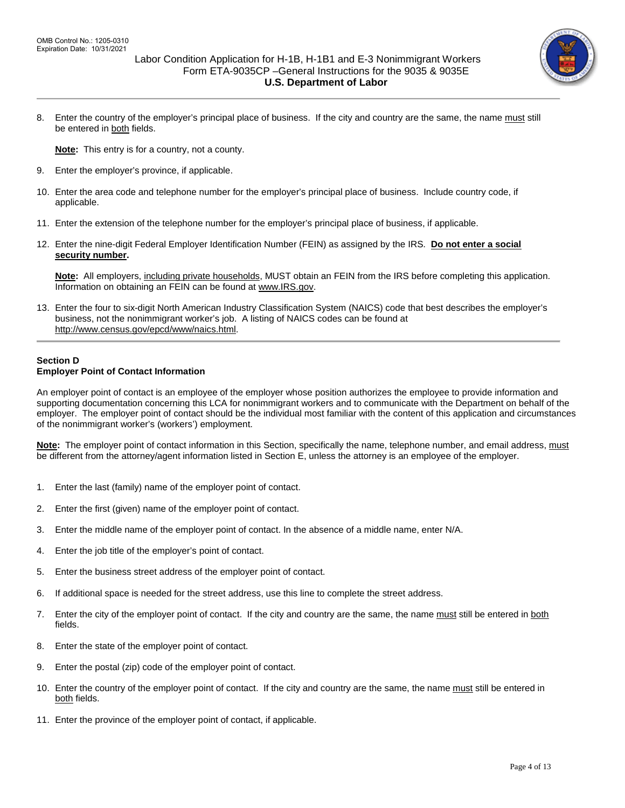

8. Enter the country of the employer's principal place of business. If the city and country are the same, the name must still be entered in both fields.

**Note:** This entry is for a country, not a county.

- 9. Enter the employer's province, if applicable.
- 10. Enter the area code and telephone number for the employer's principal place of business. Include country code, if applicable.
- 11. Enter the extension of the telephone number for the employer's principal place of business, if applicable.
- 12. Enter the nine-digit Federal Employer Identification Number (FEIN) as assigned by the IRS. **Do not enter a social security number.**

**Note:** All employers, including private households, MUST obtain an FEIN from the IRS before completing this application. Information on obtaining an FEIN can be found at [www.IRS.gov.](http://www.irs.gov/)

13. Enter the four to six-digit North American Industry Classification System (NAICS) code that best describes the employer's business, not the nonimmigrant worker's job. A listing of NAICS codes can be found at [http://www.census.gov/epcd/www/naics.html.](http://www.census.gov/epcd/www/naics.html)

## **Section D Employer Point of Contact Information**

An employer point of contact is an employee of the employer whose position authorizes the employee to provide information and supporting documentation concerning this LCA for nonimmigrant workers and to communicate with the Department on behalf of the employer. The employer point of contact should be the individual most familiar with the content of this application and circumstances of the nonimmigrant worker's (workers') employment.

**Note:**The employer point of contact information in this Section, specifically the name, telephone number, and email address, must be different from the attorney/agent information listed in Section E, unless the attorney is an employee of the employer.

- 1. Enter the last (family) name of the employer point of contact.
- 2. Enter the first (given) name of the employer point of contact.
- 3. Enter the middle name of the employer point of contact. In the absence of a middle name, enter N/A.
- 4. Enter the job title of the employer's point of contact.
- 5. Enter the business street address of the employer point of contact.
- 6. If additional space is needed for the street address, use this line to complete the street address.
- 7. Enter the city of the employer point of contact. If the city and country are the same, the name must still be entered in both fields.
- 8. Enter the state of the employer point of contact.
- 9. Enter the postal (zip) code of the employer point of contact.
- 10. Enter the country of the employer point of contact. If the city and country are the same, the name must still be entered in both fields.
- 11. Enter the province of the employer point of contact, if applicable.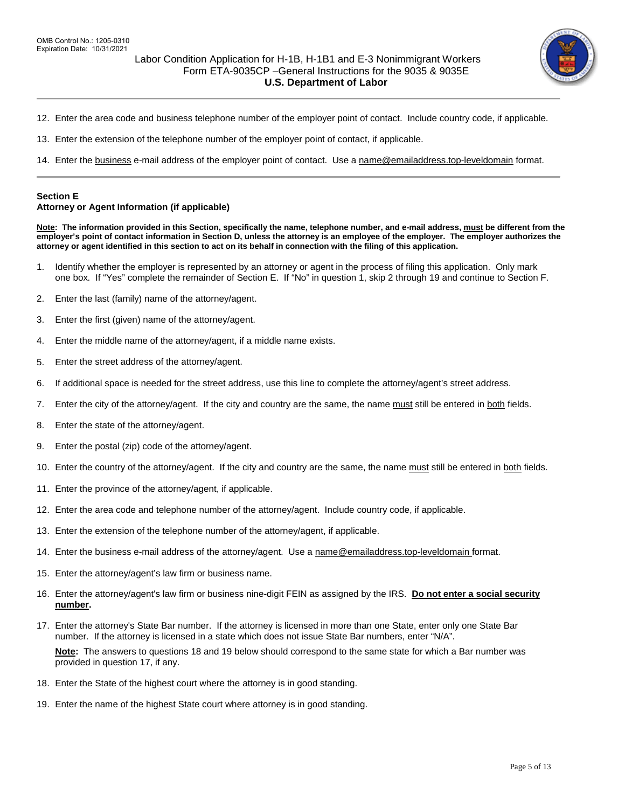

- 12. Enter the area code and business telephone number of the employer point of contact. Include country code, if applicable.
- 13. Enter the extension of the telephone number of the employer point of contact, if applicable.
- 14. Enter the business e-mail address of the employer point of contact. Use [a name@emailaddress.top-leveldomain](mailto:name@emailaddress.top-leveldomain) format.

#### **Section E**

#### **Attorney or Agent Information (if applicable)**

**Note: The information provided in this Section, specifically the name, telephone number, and e-mail address, must be different from the employer's point of contact information in Section D, unless the attorney is an employee of the employer. The employer authorizes the attorney or agent identified in this section to act on its behalf in connection with the filing of this application.**

- 1. Identify whether the employer is represented by an attorney or agent in the process of filing this application. Only mark one box. If "Yes" complete the remainder of Section E. If "No" in question 1, skip 2 through 19 and continue to Section F.
- 2. Enter the last (family) name of the attorney/agent.
- 3. Enter the first (given) name of the attorney/agent.
- 4. Enter the middle name of the attorney/agent, if a middle name exists.
- 5. Enter the street address of the attorney/agent.
- 6. If additional space is needed for the street address, use this line to complete the attorney/agent's street address.
- 7. Enter the city of the attorney/agent. If the city and country are the same, the name must still be entered in both fields.
- 8. Enter the state of the attorney/agent.
- 9. Enter the postal (zip) code of the attorney/agent.
- 10. Enter the country of the attorney/agent. If the city and country are the same, the name must still be entered in both fields.
- 11. Enter the province of the attorney/agent, if applicable.
- 12. Enter the area code and telephone number of the attorney/agent. Include country code, if applicable.
- 13. Enter the extension of the telephone number of the attorney/agent, if applicable.
- 14. Enter the business e-mail address of the attorney/agent. Use [a name@emailaddress.top-leveldomain](mailto:name@emailaddress.top-leveldomain) format.
- 15. Enter the attorney/agent's law firm or business name.
- 16. Enter the attorney/agent's law firm or business nine-digit FEIN as assigned by the IRS. **Do not enter a social security number.**
- 17. Enter the attorney's State Bar number. If the attorney is licensed in more than one State, enter only one State Bar number. If the attorney is licensed in a state which does not issue State Bar numbers, enter "N/A".

**Note:** The answers to questions 18 and 19 below should correspond to the same state for which a Bar number was provided in question 17, if any.

- 18. Enter the State of the highest court where the attorney is in good standing.
- 19. Enter the name of the highest State court where attorney is in good standing.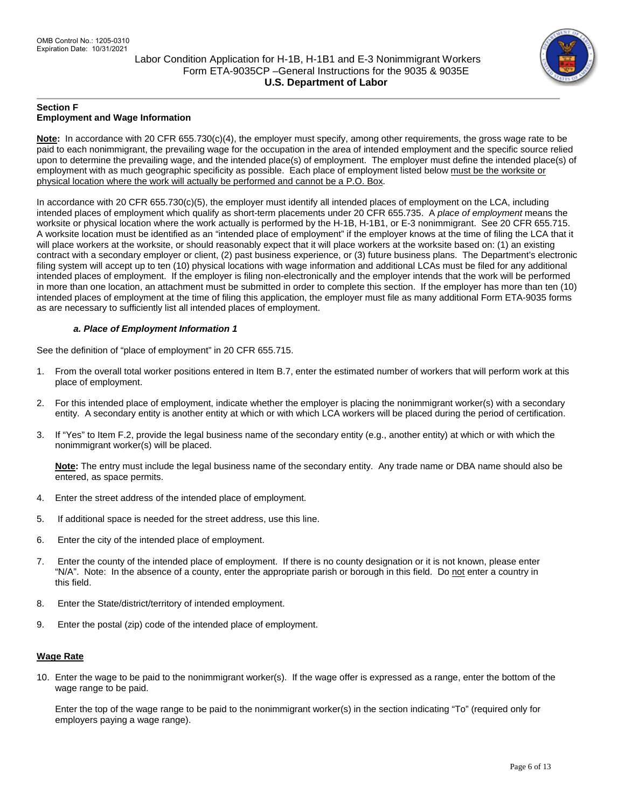

## **Section F Employment and Wage Information**

**Note:** In accordance with 20 CFR 655.730(c)(4), the employer must specify, among other requirements, the gross wage rate to be paid to each nonimmigrant, the prevailing wage for the occupation in the area of intended employment and the specific source relied upon to determine the prevailing wage, and the intended place(s) of employment. The employer must define the intended place(s) of employment with as much geographic specificity as possible. Each place of employment listed below must be the worksite or physical location where the work will actually be performed and cannot be a P.O. Box.

In accordance with 20 CFR 655.730(c)(5), the employer must identify all intended places of employment on the LCA, including intended places of employment which qualify as short-term placements under 20 CFR 655.735. A *place of employment* means the worksite or physical location where the work actually is performed by the H-1B, H-1B1, or E-3 nonimmigrant. See 20 CFR 655.715. A worksite location must be identified as an "intended place of employment" if the employer knows at the time of filing the LCA that it will place workers at the worksite, or should reasonably expect that it will place workers at the worksite based on: (1) an existing contract with a secondary employer or client, (2) past business experience, or (3) future business plans. The Department's electronic filing system will accept up to ten (10) physical locations with wage information and additional LCAs must be filed for any additional intended places of employment. If the employer is filing non-electronically and the employer intends that the work will be performed in more than one location, an attachment must be submitted in order to complete this section.If the employer has more than ten (10) intended places of employment at the time of filing this application, the employer must file as many additional Form ETA-9035 forms as are necessary to sufficiently list all intended places of employment.

# *a. Place of Employment Information 1*

See the definition of "place of employment" in 20 CFR 655.715.

- 1. From the overall total worker positions entered in Item B.7, enter the estimated number of workers that will perform work at this place of employment.
- 2. For this intended place of employment, indicate whether the employer is placing the nonimmigrant worker(s) with a secondary entity. A secondary entity is another entity at which or with which LCA workers will be placed during the period of certification.
- 3. If "Yes" to Item F.2, provide the legal business name of the secondary entity (e.g., another entity) at which or with which the nonimmigrant worker(s) will be placed.

**Note:** The entry must include the legal business name of the secondary entity. Any trade name or DBA name should also be entered, as space permits.

- 4. Enter the street address of the intended place of employment.
- 5. If additional space is needed for the street address, use this line.
- 6. Enter the city of the intended place of employment.
- 7. Enter the county of the intended place of employment. If there is no county designation or it is not known, please enter "N/A". Note: In the absence of a county, enter the appropriate parish or borough in this field. Do not enter a country in this field.
- 8. Enter the State/district/territory of intended employment.
- 9. Enter the postal (zip) code of the intended place of employment.

## **Wage Rate**

10. Enter the wage to be paid to the nonimmigrant worker(s). If the wage offer is expressed as a range, enter the bottom of the wage range to be paid.

Enter the top of the wage range to be paid to the nonimmigrant worker(s) in the section indicating "To" (required only for employers paying a wage range).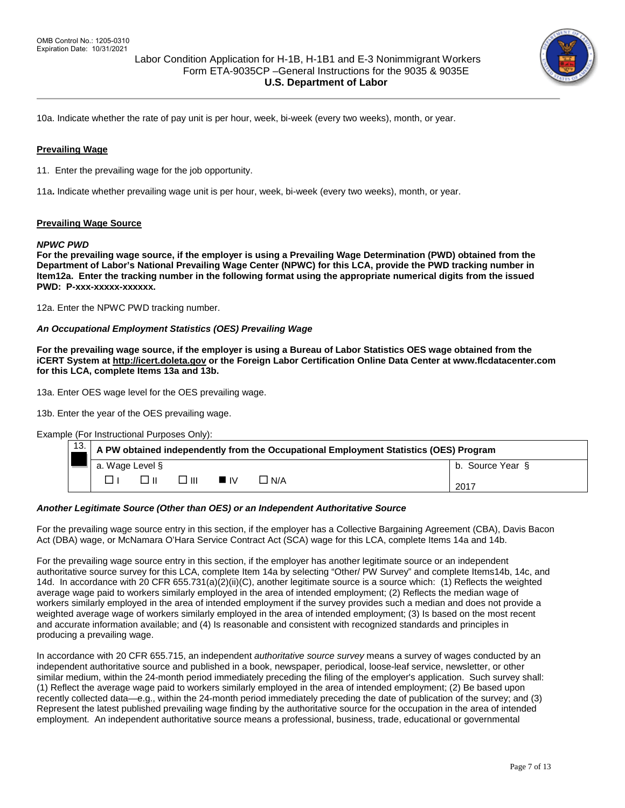

10a. Indicate whether the rate of pay unit is per hour, week, bi-week (every two weeks), month, or year.

## **Prevailing Wage**

11. Enter the prevailing wage for the job opportunity.

11a**.** Indicate whether prevailing wage unit is per hour, week, bi-week (every two weeks), month, or year.

#### **Prevailing Wage Source**

#### *NPWC PWD*

**For the prevailing wage source, if the employer is using a Prevailing Wage Determination (PWD) obtained from the Department of Labor's National Prevailing Wage Center (NPWC) for this LCA, provide the PWD tracking number in Item12a. Enter the tracking number in the following format using the appropriate numerical digits from the issued**  PWD: P-xxx-xxxxx-xxxxxx.

12a. Enter the NPWC PWD tracking number.

#### *An Occupational Employment Statistics (OES) Prevailing Wage*

**For the prevailing wage source, if the employer is using a Bureau of Labor Statistics OES wage obtained from the iCERT System a[t http://icert.doleta.gov](http://icert.doleta.gov/) or the Foreign Labor Certification Online Data Center at www.flcdatacenter.com for this LCA, complete Items 13a and 13b.** 

13a. Enter OES wage level for the OES prevailing wage.

13b. Enter the year of the OES prevailing wage.

Example (For Instructional Purposes Only):

| 13. | A PW obtained independently from the Occupational Employment Statistics (OES) Program |  |       |                   |       |                  |
|-----|---------------------------------------------------------------------------------------|--|-------|-------------------|-------|------------------|
|     | a. Wage Level §                                                                       |  |       |                   |       | b. Source Year § |
|     |                                                                                       |  | 3 III | $\blacksquare$ IV | ∐ N/A | 2017             |

#### *Another Legitimate Source (Other than OES) or an Independent Authoritative Source*

For the prevailing wage source entry in this section, if the employer has a Collective Bargaining Agreement (CBA), Davis Bacon Act (DBA) wage, or McNamara O'Hara Service Contract Act (SCA) wage for this LCA, complete Items 14a and 14b.

For the prevailing wage source entry in this section, if the employer has another legitimate source or an independent authoritative source survey for this LCA, complete Item 14a by selecting "Other/ PW Survey" and complete Items14b, 14c, and 14d. In accordance with 20 CFR 655.731(a)(2)(ii)(C), another legitimate source is a source which: (1) Reflects the weighted average wage paid to workers similarly employed in the area of intended employment; (2) Reflects the median wage of workers similarly employed in the area of intended employment if the survey provides such a median and does not provide a weighted average wage of workers similarly employed in the area of intended employment; (3) Is based on the most recent and accurate information available; and (4) Is reasonable and consistent with recognized standards and principles in producing a prevailing wage.

In accordance with 20 CFR 655.715, an independent *authoritative source survey* means a survey of wages conducted by an independent authoritative source and published in a book, newspaper, periodical, loose-leaf service, newsletter, or other similar medium, within the 24-month period immediately preceding the filing of the employer's application. Such survey shall: (1) Reflect the average wage paid to workers similarly employed in the area of intended employment; (2) Be based upon recently collected data—e.g., within the 24-month period immediately preceding the date of publication of the survey; and (3) Represent the latest published prevailing wage finding by the authoritative source for the occupation in the area of intended employment. An independent authoritative source means a professional, business, trade, educational or governmental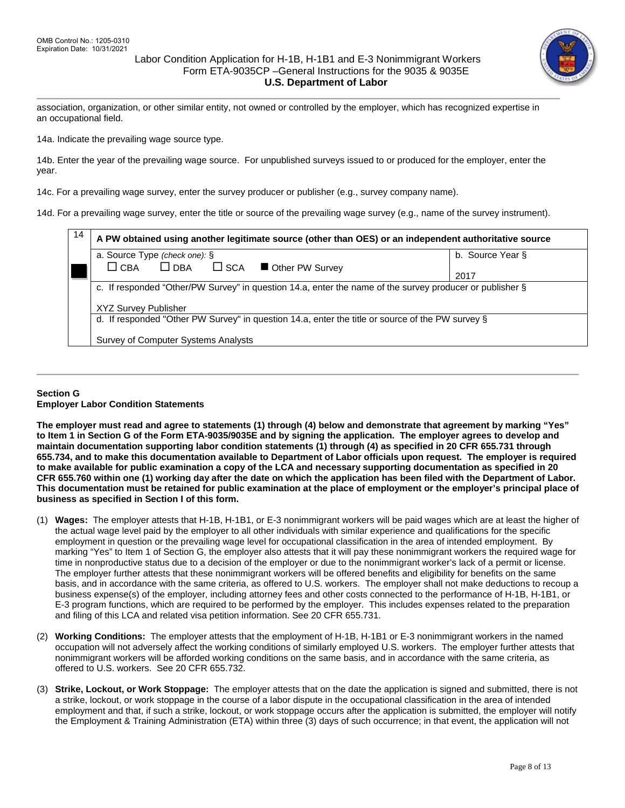

association, organization, or other similar entity, not owned or controlled by the employer, which has recognized expertise in an occupational field.

14a. Indicate the prevailing wage source type.

14b. Enter the year of the prevailing wage source. For unpublished surveys issued to or produced for the employer, enter the year.

14c. For a prevailing wage survey, enter the survey producer or publisher (e.g., survey company name).

14d. For a prevailing wage survey, enter the title or source of the prevailing wage survey (e.g., name of the survey instrument).

| 14 | A PW obtained using another legitimate source (other than OES) or an independent authoritative source                                   |                  |  |  |  |  |
|----|-----------------------------------------------------------------------------------------------------------------------------------------|------------------|--|--|--|--|
|    | a. Source Type (check one): §                                                                                                           | b. Source Year § |  |  |  |  |
|    | $\Box$ DBA<br>$\Box$ CBA<br>$\square$ SCA<br>Other PW Survey                                                                            |                  |  |  |  |  |
|    |                                                                                                                                         | 2017             |  |  |  |  |
|    | c. If responded "Other/PW Survey" in question 14.a, enter the name of the survey producer or publisher §<br><b>XYZ Survey Publisher</b> |                  |  |  |  |  |
|    |                                                                                                                                         |                  |  |  |  |  |
|    | d. If responded "Other PW Survey" in question 14.a, enter the title or source of the PW survey §                                        |                  |  |  |  |  |
|    | Survey of Computer Systems Analysts                                                                                                     |                  |  |  |  |  |

## **Section G Employer Labor Condition Statements**

**The employer must read and agree to statements (1) through (4) below and demonstrate that agreement by marking "Yes" to Item 1 in Section G of the Form ETA-9035/9035E and by signing the application. The employer agrees to develop and maintain documentation supporting labor condition statements (1) through (4) as specified in 20 CFR 655.731 through 655.734, and to make this documentation available to Department of Labor officials upon request. The employer is required to make available for public examination a copy of the LCA and necessary supporting documentation as specified in 20 CFR 655.760 within one (1) working day after the date on which the application has been filed with the Department of Labor. This documentation must be retained for public examination at the place of employment or the employer's principal place of business as specified in Section I of this form.**

- (1) **Wages:** The employer attests that H-1B, H-1B1, or E-3 nonimmigrant workers will be paid wages which are at least the higher of the actual wage level paid by the employer to all other individuals with similar experience and qualifications for the specific employment in question or the prevailing wage level for occupational classification in the area of intended employment. By marking "Yes" to Item 1 of Section G, the employer also attests that it will pay these nonimmigrant workers the required wage for time in nonproductive status due to a decision of the employer or due to the nonimmigrant worker's lack of a permit or license. The employer further attests that these nonimmigrant workers will be offered benefits and eligibility for benefits on the same basis, and in accordance with the same criteria, as offered to U.S. workers. The employer shall not make deductions to recoup a business expense(s) of the employer, including attorney fees and other costs connected to the performance of H-1B, H-1B1, or E-3 program functions, which are required to be performed by the employer. This includes expenses related to the preparation and filing of this LCA and related visa petition information. See 20 CFR 655.731.
- (2) **Working Conditions:** The employer attests that the employment of H-1B, H-1B1 or E-3 nonimmigrant workers in the named occupation will not adversely affect the working conditions of similarly employed U.S. workers. The employer further attests that nonimmigrant workers will be afforded working conditions on the same basis, and in accordance with the same criteria, as offered to U.S. workers. See 20 CFR 655.732.
- (3) **Strike, Lockout, or Work Stoppage:** The employer attests that on the date the application is signed and submitted, there is not a strike, lockout, or work stoppage in the course of a labor dispute in the occupational classification in the area of intended employment and that, if such a strike, lockout, or work stoppage occurs after the application is submitted, the employer will notify the Employment & Training Administration (ETA) within three (3) days of such occurrence; in that event, the application will not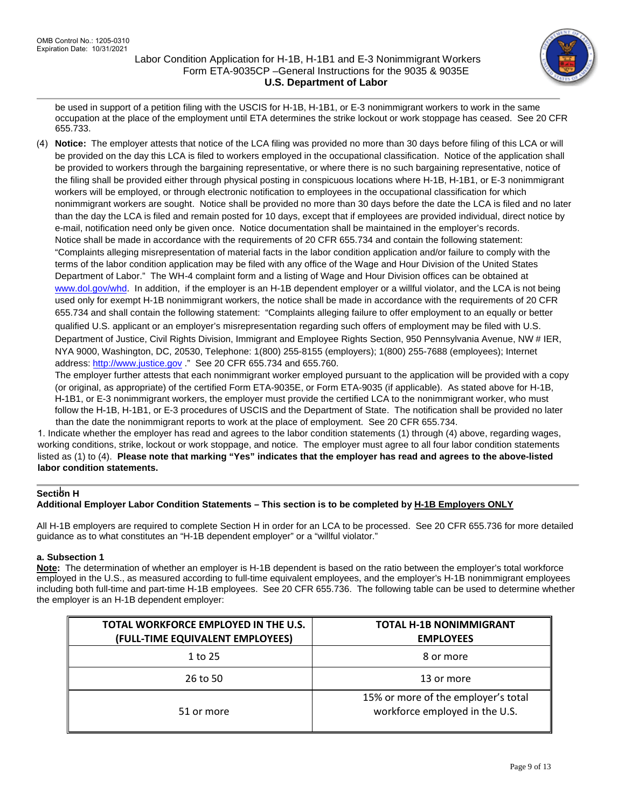

be used in support of a petition filing with the USCIS for H-1B, H-1B1, or E-3 nonimmigrant workers to work in the same occupation at the place of the employment until ETA determines the strike lockout or work stoppage has ceased. See 20 CFR 655.733.

(4) **Notice:** The employer attests that notice of the LCA filing was provided no more than 30 days before filing of this LCA or will be provided on the day this LCA is filed to workers employed in the occupational classification. Notice of the application shall be provided to workers through the bargaining representative, or where there is no such bargaining representative, notice of the filing shall be provided either through physical posting in conspicuous locations where H-1B, H-1B1, or E-3 nonimmigrant workers will be employed, or through electronic notification to employees in the occupational classification for which nonimmigrant workers are sought. Notice shall be provided no more than 30 days before the date the LCA is filed and no later than the day the LCA is filed and remain posted for 10 days, except that if employees are provided individual, direct notice by e-mail, notification need only be given once. Notice documentation shall be maintained in the employer's records. Notice shall be made in accordance with the requirements of 20 CFR 655.734 and contain the following statement: "Complaints alleging misrepresentation of material facts in the labor condition application and/or failure to comply with the terms of the labor condition application may be filed with any office of the Wage and Hour Division of the United States Department of Labor." The WH-4 complaint form and a listing of Wage and Hour Division offices can be obtained at [www.dol.gov/whd.](http://www.dol.gov/whd) In addition, if the employer is an H-1B dependent employer or a willful violator, and the LCA is not being used only for exempt H-1B nonimmigrant workers, the notice shall be made in accordance with the requirements of 20 CFR 655.734 and shall contain the following statement: "Complaints alleging failure to offer employment to an equally or better qualified U.S. applicant or an employer's misrepresentation regarding such offers of employment may be filed with U.S. Department of Justice, Civil Rights Division, Immigrant and Employee Rights Section, 950 Pennsylvania Avenue, NW # IER, NYA 9000, Washington, DC, 20530, Telephone: 1(800) 255-8155 (employers); 1(800) 255-7688 (employees); Internet address: [http://www.justice.gov](http://www.justice.gov/) ." See 20 CFR 655.734 and 655.760.

The employer further attests that each nonimmigrant worker employed pursuant to the application will be provided with a copy (or original, as appropriate) of the certified Form ETA-9035E, or Form ETA-9035 (if applicable). As stated above for H-1B, H-1B1, or E-3 nonimmigrant workers, the employer must provide the certified LCA to the nonimmigrant worker, who must follow the H-1B, H-1B1, or E-3 procedures of USCIS and the Department of State. The notification shall be provided no later than the date the nonimmigrant reports to work at the place of employment. See 20 CFR 655.734.

1. Indicate whether the employer has read and agrees to the labor condition statements (1) through (4) above, regarding wages, working conditions, strike, lockout or work stoppage, and notice. The employer must agree to all four labor condition statements listed as (1) to (4). **Please note that marking "Yes" indicates that the employer has read and agrees to the above-listed labor condition statements.**

# **Section H**

# **Additional Employer Labor Condition Statements – This section is to be completed by H-1B Employers ONLY**

All H-1B employers are required to complete Section H in order for an LCA to be processed. See 20 CFR 655.736 for more detailed guidance as to what constitutes an "H-1B dependent employer" or a "willful violator."

# **a. Subsection 1**

**Note:** The determination of whether an employer is H-1B dependent is based on the ratio between the employer's total workforce employed in the U.S., as measured according to full-time equivalent employees, and the employer's H-1B nonimmigrant employees including both full-time and part-time H-1B employees. See 20 CFR 655.736. The following table can be used to determine whether the employer is an H-1B dependent employer:

| TOTAL WORKFORCE EMPLOYED IN THE U.S.<br>(FULL-TIME EQUIVALENT EMPLOYEES) | <b>TOTAL H-1B NONIMMIGRANT</b><br><b>EMPLOYEES</b>                    |
|--------------------------------------------------------------------------|-----------------------------------------------------------------------|
| 1 to 25                                                                  | 8 or more                                                             |
| 26 to 50                                                                 | 13 or more                                                            |
| 51 or more                                                               | 15% or more of the employer's total<br>workforce employed in the U.S. |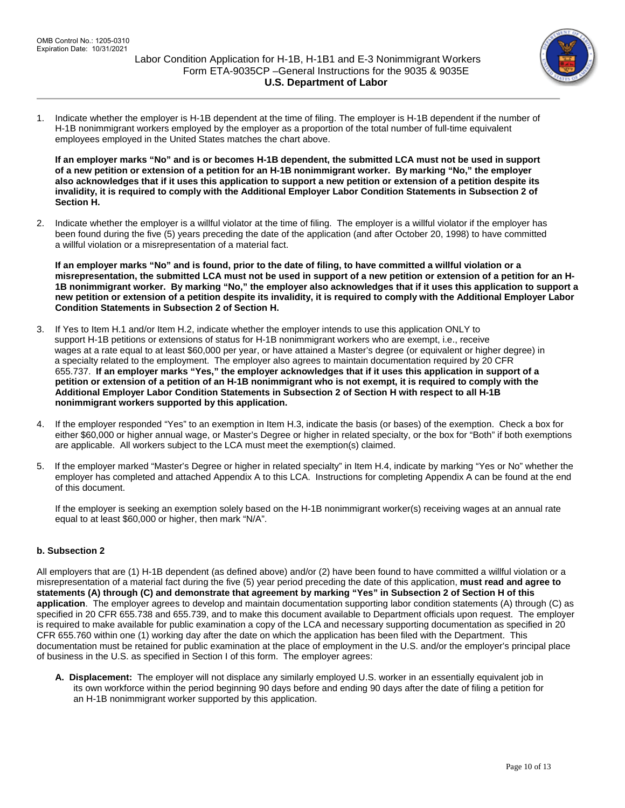

1. Indicate whether the employer is H-1B dependent at the time of filing. The employer is H-1B dependent if the number of H-1B nonimmigrant workers employed by the employer as a proportion of the total number of full-time equivalent employees employed in the United States matches the chart above.

**If an employer marks "No" and is or becomes H-1B dependent, the submitted LCA must not be used in support of a new petition or extension of a petition for an H-1B nonimmigrant worker. By marking "No," the employer also acknowledges that if it uses this application to support a new petition or extension of a petition despite its invalidity, it is required to comply with the Additional Employer Labor Condition Statements in Subsection 2 of Section H.**

2. Indicate whether the employer is a willful violator at the time of filing. The employer is a willful violator if the employer has been found during the five (5) years preceding the date of the application (and after October 20, 1998) to have committed a willful violation or a misrepresentation of a material fact.

**If an employer marks "No" and is found, prior to the date of filing, to have committed a willful violation or a misrepresentation, the submitted LCA must not be used in support of a new petition or extension of a petition for an H-1B nonimmigrant worker. By marking "No," the employer also acknowledges that if it uses this application to support a new petition or extension of a petition despite its invalidity, it is required to comply with the Additional Employer Labor Condition Statements in Subsection 2 of Section H.**

- 3. If Yes to Item H.1 and/or Item H.2, indicate whether the employer intends to use this application ONLY to support H-1B petitions or extensions of status for H-1B nonimmigrant workers who are exempt, i.e., receive wages at a rate equal to at least \$60,000 per year, or have attained a Master's degree (or equivalent or higher degree) in a specialty related to the employment. The employer also agrees to maintain documentation required by 20 CFR 655.737. **If an employer marks "Yes," the employer acknowledges that if it uses this application in support of a petition or extension of a petition of an H-1B nonimmigrant who is not exempt, it is required to comply with the Additional Employer Labor Condition Statements in Subsection 2 of Section H with respect to all H-1B nonimmigrant workers supported by this application.**
- 4. If the employer responded "Yes" to an exemption in Item H.3, indicate the basis (or bases) of the exemption. Check a box for either \$60,000 or higher annual wage, or Master's Degree or higher in related specialty, or the box for "Both" if both exemptions are applicable. All workers subject to the LCA must meet the exemption(s) claimed.
- 5. If the employer marked "Master's Degree or higher in related specialty" in Item H.4, indicate by marking "Yes or No" whether the employer has completed and attached Appendix A to this LCA. Instructions for completing Appendix A can be found at the end of this document.

If the employer is seeking an exemption solely based on the H-1B nonimmigrant worker(s) receiving wages at an annual rate equal to at least \$60,000 or higher, then mark "N/A".

# **b. Subsection 2**

All employers that are (1) H-1B dependent (as defined above) and/or (2) have been found to have committed a willful violation or a misrepresentation of a material fact during the five (5) year period preceding the date of this application, **must read and agree to statements (A) through (C) and demonstrate that agreement by marking "Yes" in Subsection 2 of Section H of this application**. The employer agrees to develop and maintain documentation supporting labor condition statements (A) through (C) as specified in 20 CFR 655.738 and 655.739, and to make this document available to Department officials upon request. The employer is required to make available for public examination a copy of the LCA and necessary supporting documentation as specified in 20 CFR 655.760 within one (1) working day after the date on which the application has been filed with the Department. This documentation must be retained for public examination at the place of employment in the U.S. and/or the employer's principal place of business in the U.S. as specified in Section I of this form. The employer agrees:

**A. Displacement:** The employer will not displace any similarly employed U.S. worker in an essentially equivalent job in its own workforce within the period beginning 90 days before and ending 90 days after the date of filing a petition for an H-1B nonimmigrant worker supported by this application.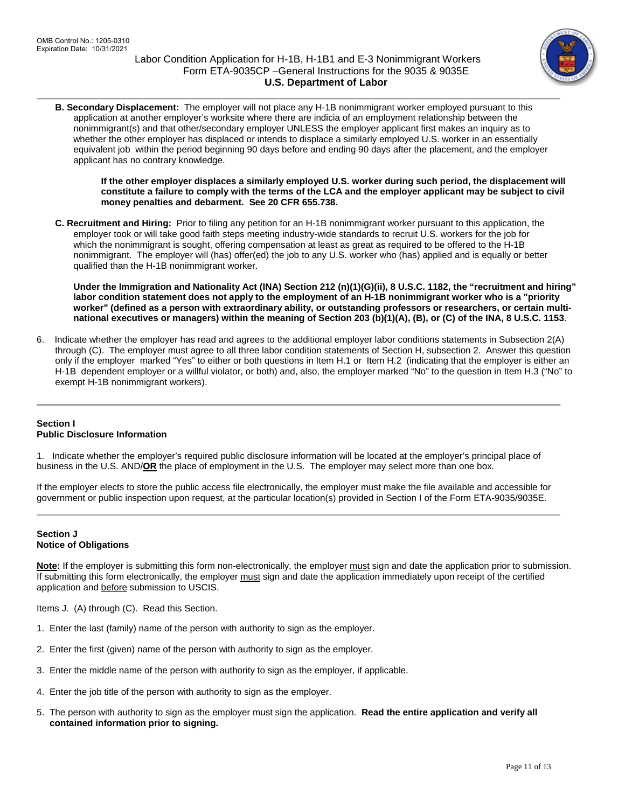

**B. Secondary Displacement:** The employer will not place any H-1B nonimmigrant worker employed pursuant to this application at another employer's worksite where there are indicia of an employment relationship between the nonimmigrant(s) and that other/secondary employer UNLESS the employer applicant first makes an inquiry as to whether the other employer has displaced or intends to displace a similarly employed U.S. worker in an essentially equivalent job within the period beginning 90 days before and ending 90 days after the placement, and the employer applicant has no contrary knowledge.

**If the other employer displaces a similarly employed U.S. worker during such period, the displacement will constitute a failure to comply with the terms of the LCA and the employer applicant may be subject to civil money penalties and debarment. See 20 CFR 655.738.**

**C. Recruitment and Hiring:** Prior to filing any petition for an H-1B nonimmigrant worker pursuant to this application, the employer took or will take good faith steps meeting industry-wide standards to recruit U.S. workers for the job for which the nonimmigrant is sought, offering compensation at least as great as required to be offered to the H-1B nonimmigrant. The employer will (has) offer(ed) the job to any U.S. worker who (has) applied and is equally or better qualified than the H-1B nonimmigrant worker.

**Under the Immigration and Nationality Act (INA) Section 212 (n)(1)(G)(ii), 8 U.S.C. 1182, the "recruitment and hiring" labor condition statement does not apply to the employment of an H-1B nonimmigrant worker who is a "priority worker" (defined as a person with extraordinary ability, or outstanding professors or researchers, or certain multinational executives or managers) within the meaning of Section 203 (b)(1)(A), (B), or (C) of the INA, 8 U.S.C. 1153**.

6. Indicate whether the employer has read and agrees to the additional employer labor conditions statements in Subsection 2(A) through (C). The employer must agree to all three labor condition statements of Section H, subsection 2. Answer this question only if the employer marked "Yes" to either or both questions in Item H.1 or Item H.2 (indicating that the employer is either an H-1B dependent employer or a willful violator, or both) and, also, the employer marked "No" to the question in Item H.3 ("No" to exempt H-1B nonimmigrant workers).

# **Section I Public Disclosure Information**

1. Indicate whether the employer's required public disclosure information will be located at the employer's principal place of business in the U.S. AND/**OR** the place of employment in the U.S. The employer may select more than one box.

If the employer elects to store the public access file electronically, the employer must make the file available and accessible for government or public inspection upon request, at the particular location(s) provided in Section I of the Form ETA-9035/9035E.

## **Section J Notice of Obligations**

**Note:** If the employer is submitting this form non-electronically, the employer must sign and date the application prior to submission. If submitting this form electronically, the employer must sign and date the application immediately upon receipt of the certified application and before submission to USCIS.

Items J. (A) through (C). Read this Section.

- 1. Enter the last (family) name of the person with authority to sign as the employer.
- 2. Enter the first (given) name of the person with authority to sign as the employer.
- 3. Enter the middle name of the person with authority to sign as the employer, if applicable.
- 4. Enter the job title of the person with authority to sign as the employer.
- 5. The person with authority to sign as the employer must sign the application. **Read the entire application and verify all contained information prior to signing.**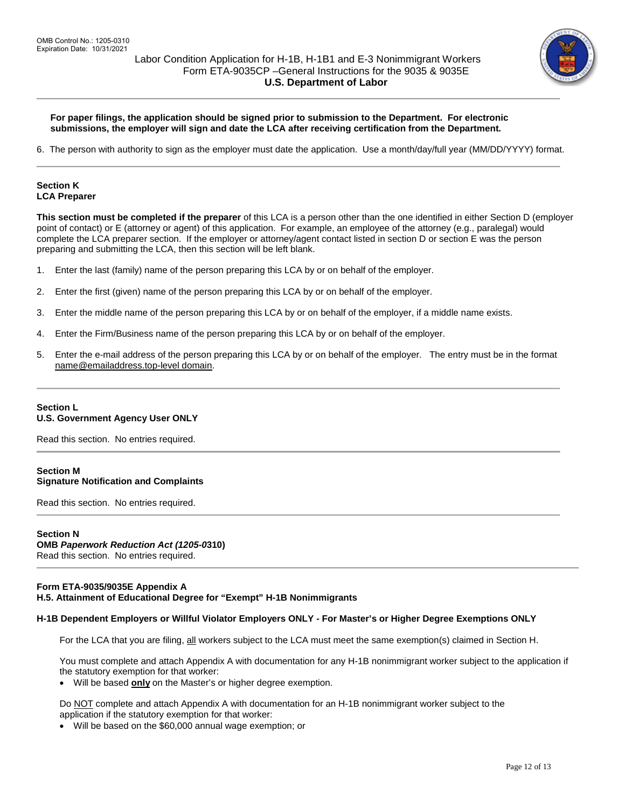

## **For paper filings, the application should be signed prior to submission to the Department. For electronic submissions, the employer will sign and date the LCA after receiving certification from the Department.**

6. The person with authority to sign as the employer must date the application. Use a month/day/full year (MM/DD/YYYY) format.

## **Section K LCA Preparer**

**This section must be completed if the preparer** of this LCA is a person other than the one identified in either Section D (employer point of contact) or E (attorney or agent) of this application. For example, an employee of the attorney (e.g., paralegal) would complete the LCA preparer section. If the employer or attorney/agent contact listed in section D or section E was the person preparing and submitting the LCA, then this section will be left blank.

- 1. Enter the last (family) name of the person preparing this LCA by or on behalf of the employer.
- 2. Enter the first (given) name of the person preparing this LCA by or on behalf of the employer.
- 3. Enter the middle name of the person preparing this LCA by or on behalf of the employer, if a middle name exists.
- 4. Enter the Firm/Business name of the person preparing this LCA by or on behalf of the employer.
- 5. Enter the e-mail address of the person preparing this LCA by or on behalf of the employer. The entry must be in the format [name@emailaddress.top-level](mailto:name@emailaddress.top-level) domain.

## **Section L U.S. Government Agency User ONLY**

Read this section. No entries required.

## **Section M Signature Notification and Complaints**

Read this section. No entries required.

# **Section N OMB** *Paperwork Reduction Act (1205-0***310)**

Read this section. No entries required.

## **Form ETA-9035/9035E Appendix A H.5. Attainment of Educational Degree for "Exempt" H-1B Nonimmigrants**

## **H-1B Dependent Employers or Willful Violator Employers ONLY - For Master's or Higher Degree Exemptions ONLY**

For the LCA that you are filing, all workers subject to the LCA must meet the same exemption(s) claimed in Section H.

You must complete and attach Appendix A with documentation for any H-1B nonimmigrant worker subject to the application if the statutory exemption for that worker:

• Will be based **only** on the Master's or higher degree exemption.

Do NOT complete and attach Appendix A with documentation for an H-1B nonimmigrant worker subject to the application if the statutory exemption for that worker:

• Will be based on the \$60,000 annual wage exemption; or